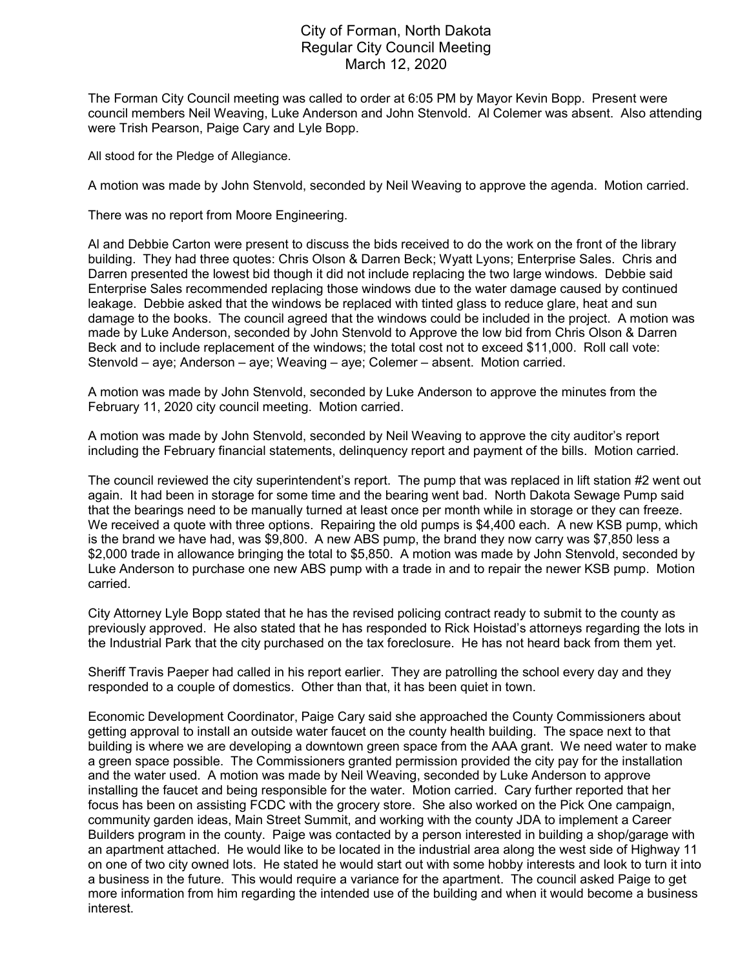## City of Forman, North Dakota Regular City Council Meeting March 12, 2020

The Forman City Council meeting was called to order at 6:05 PM by Mayor Kevin Bopp. Present were council members Neil Weaving, Luke Anderson and John Stenvold. Al Colemer was absent. Also attending were Trish Pearson, Paige Cary and Lyle Bopp.

All stood for the Pledge of Allegiance.

A motion was made by John Stenvold, seconded by Neil Weaving to approve the agenda. Motion carried.

There was no report from Moore Engineering.

Al and Debbie Carton were present to discuss the bids received to do the work on the front of the library building. They had three quotes: Chris Olson & Darren Beck; Wyatt Lyons; Enterprise Sales. Chris and Darren presented the lowest bid though it did not include replacing the two large windows. Debbie said Enterprise Sales recommended replacing those windows due to the water damage caused by continued leakage. Debbie asked that the windows be replaced with tinted glass to reduce glare, heat and sun damage to the books. The council agreed that the windows could be included in the project. A motion was made by Luke Anderson, seconded by John Stenvold to Approve the low bid from Chris Olson & Darren Beck and to include replacement of the windows; the total cost not to exceed \$11,000. Roll call vote: Stenvold – aye; Anderson – aye; Weaving – aye; Colemer – absent. Motion carried.

A motion was made by John Stenvold, seconded by Luke Anderson to approve the minutes from the February 11, 2020 city council meeting. Motion carried.

A motion was made by John Stenvold, seconded by Neil Weaving to approve the city auditor's report including the February financial statements, delinquency report and payment of the bills. Motion carried.

The council reviewed the city superintendent's report. The pump that was replaced in lift station #2 went out again. It had been in storage for some time and the bearing went bad. North Dakota Sewage Pump said that the bearings need to be manually turned at least once per month while in storage or they can freeze. We received a quote with three options. Repairing the old pumps is \$4,400 each. A new KSB pump, which is the brand we have had, was \$9,800. A new ABS pump, the brand they now carry was \$7,850 less a \$2,000 trade in allowance bringing the total to \$5,850. A motion was made by John Stenvold, seconded by Luke Anderson to purchase one new ABS pump with a trade in and to repair the newer KSB pump. Motion carried.

City Attorney Lyle Bopp stated that he has the revised policing contract ready to submit to the county as previously approved. He also stated that he has responded to Rick Hoistad's attorneys regarding the lots in the Industrial Park that the city purchased on the tax foreclosure. He has not heard back from them yet.

Sheriff Travis Paeper had called in his report earlier. They are patrolling the school every day and they responded to a couple of domestics. Other than that, it has been quiet in town.

Economic Development Coordinator, Paige Cary said she approached the County Commissioners about getting approval to install an outside water faucet on the county health building. The space next to that building is where we are developing a downtown green space from the AAA grant. We need water to make a green space possible. The Commissioners granted permission provided the city pay for the installation and the water used. A motion was made by Neil Weaving, seconded by Luke Anderson to approve installing the faucet and being responsible for the water. Motion carried. Cary further reported that her focus has been on assisting FCDC with the grocery store. She also worked on the Pick One campaign, community garden ideas, Main Street Summit, and working with the county JDA to implement a Career Builders program in the county. Paige was contacted by a person interested in building a shop/garage with an apartment attached. He would like to be located in the industrial area along the west side of Highway 11 on one of two city owned lots. He stated he would start out with some hobby interests and look to turn it into a business in the future. This would require a variance for the apartment. The council asked Paige to get more information from him regarding the intended use of the building and when it would become a business interest.